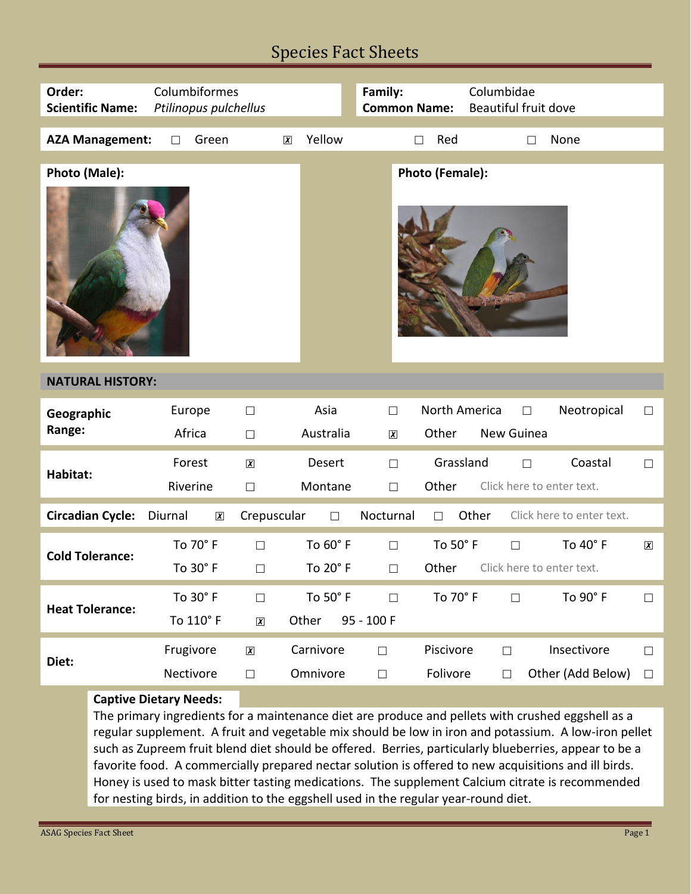## Species Fact Sheets

| Order:<br><b>Scientific Name:</b>       | Columbiformes<br>Ptilinopus pulchellus           |                                |                       | Family:<br><b>Common Name:</b> |                        | Columbidae<br><b>Beautiful fruit dove</b> |                                  |                     |
|-----------------------------------------|--------------------------------------------------|--------------------------------|-----------------------|--------------------------------|------------------------|-------------------------------------------|----------------------------------|---------------------|
| <b>AZA Management:</b>                  | Green<br>П                                       | $\boxed{\textbf{X}}$           | Yellow                |                                | Red<br>П               | $\Box$                                    | None                             |                     |
| <b>Photo (Female):</b><br>Photo (Male): |                                                  |                                |                       |                                |                        |                                           |                                  |                     |
| <b>NATURAL HISTORY:</b>                 |                                                  |                                |                       |                                |                        |                                           |                                  |                     |
| Geographic<br>Range:                    | Europe<br>Africa                                 | $\Box$<br>$\Box$               | Asia<br>Australia     | $\Box$<br>$\boxed{\mathbf{X}}$ | North America<br>Other | П<br>New Guinea                           | Neotropical                      | $\Box$              |
| Habitat:                                | Forest<br>Riverine                               | $\boxed{\textbf{X}}$<br>$\Box$ | Desert<br>Montane     | $\Box$<br>$\Box$               | Grassland<br>Other     | П<br>Click here to enter text.            | Coastal                          | $\Box$              |
| <b>Circadian Cycle:</b>                 | Diurnal<br>$\boldsymbol{\chi}$                   | Crepuscular                    | $\Box$                | Nocturnal                      | $\Box$                 | Other                                     | Click here to enter text.        |                     |
| <b>Cold Tolerance:</b>                  | To 70° F<br>To 30° F                             | $\Box$<br>$\Box$               | To 60° F<br>To 20° F  | $\Box$<br>$\Box$               | To 50° F<br>Other      | $\Box$<br>Click here to enter text.       | To 40° F                         | $\boldsymbol{\chi}$ |
| <b>Heat Tolerance:</b>                  | To 30° F<br>To 110° F                            | $\Box$<br>$\chi$               | To 50° F<br>Other     | $\Box$<br>95 - 100 F           | To 70° F               | $\Box$                                    | To 90° F                         | $\Box$              |
| Diet:                                   | Frugivore<br>Nectivore<br>Conting Distant Nacola | $\boldsymbol{\chi}$<br>$\Box$  | Carnivore<br>Omnivore | $\Box$<br>$\Box$               | Piscivore<br>Folivore  | $\Box$<br>$\Box$                          | Insectivore<br>Other (Add Below) | $\Box$<br>$\Box$    |

## **Captive Dietary Needs:**

The primary ingredients for a maintenance diet are produce and pellets with crushed eggshell as a regular supplement. A fruit and vegetable mix should be low in iron and potassium. A low-iron pellet such as Zupreem fruit blend diet should be offered. Berries, particularly blueberries, appear to be a favorite food. A commercially prepared nectar solution is offered to new acquisitions and ill birds. Honey is used to mask bitter tasting medications. The supplement Calcium citrate is recommended for nesting birds, in addition to the eggshell used in the regular year-round diet.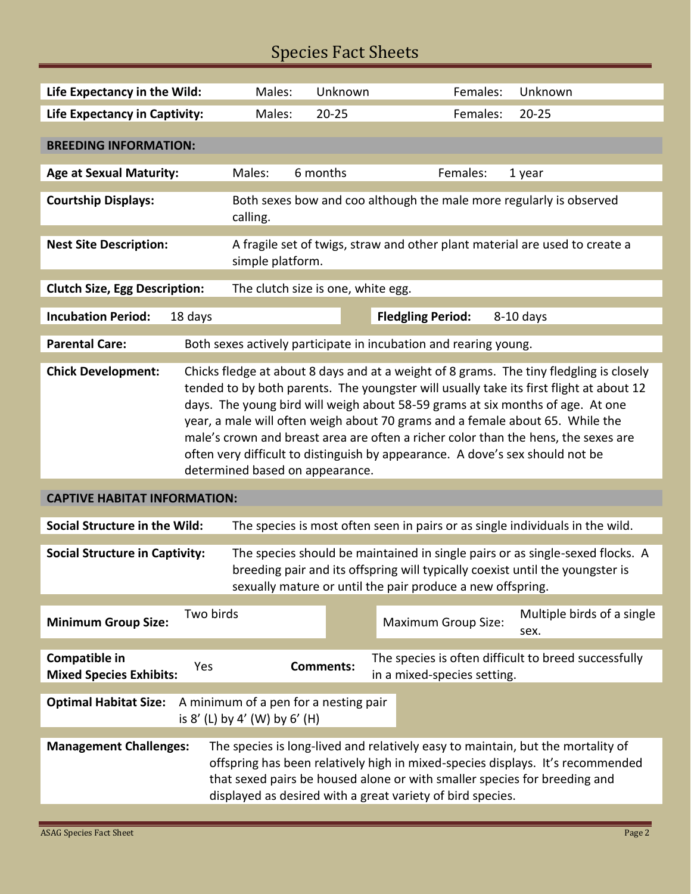## Species Fact Sheets

| Life Expectancy in the Wild:                                                                                                                                                                                                                                                                                                                  |                                                                                                                                                                                                                                                                                                                                                                                                                                                                                                                                                                 | Males:                                                                                          | Unknown                            |          | Females:                    | Unknown                                              |  |  |  |
|-----------------------------------------------------------------------------------------------------------------------------------------------------------------------------------------------------------------------------------------------------------------------------------------------------------------------------------------------|-----------------------------------------------------------------------------------------------------------------------------------------------------------------------------------------------------------------------------------------------------------------------------------------------------------------------------------------------------------------------------------------------------------------------------------------------------------------------------------------------------------------------------------------------------------------|-------------------------------------------------------------------------------------------------|------------------------------------|----------|-----------------------------|------------------------------------------------------|--|--|--|
| <b>Life Expectancy in Captivity:</b>                                                                                                                                                                                                                                                                                                          |                                                                                                                                                                                                                                                                                                                                                                                                                                                                                                                                                                 | Males:<br>$20 - 25$                                                                             |                                    | Females: | $20 - 25$                   |                                                      |  |  |  |
| <b>BREEDING INFORMATION:</b>                                                                                                                                                                                                                                                                                                                  |                                                                                                                                                                                                                                                                                                                                                                                                                                                                                                                                                                 |                                                                                                 |                                    |          |                             |                                                      |  |  |  |
| <b>Age at Sexual Maturity:</b>                                                                                                                                                                                                                                                                                                                |                                                                                                                                                                                                                                                                                                                                                                                                                                                                                                                                                                 | Males:                                                                                          | 6 months                           |          | Females:                    | 1 year                                               |  |  |  |
| <b>Courtship Displays:</b>                                                                                                                                                                                                                                                                                                                    |                                                                                                                                                                                                                                                                                                                                                                                                                                                                                                                                                                 | Both sexes bow and coo although the male more regularly is observed<br>calling.                 |                                    |          |                             |                                                      |  |  |  |
| <b>Nest Site Description:</b>                                                                                                                                                                                                                                                                                                                 |                                                                                                                                                                                                                                                                                                                                                                                                                                                                                                                                                                 | A fragile set of twigs, straw and other plant material are used to create a<br>simple platform. |                                    |          |                             |                                                      |  |  |  |
| <b>Clutch Size, Egg Description:</b>                                                                                                                                                                                                                                                                                                          |                                                                                                                                                                                                                                                                                                                                                                                                                                                                                                                                                                 |                                                                                                 | The clutch size is one, white egg. |          |                             |                                                      |  |  |  |
| <b>Incubation Period:</b>                                                                                                                                                                                                                                                                                                                     | 18 days                                                                                                                                                                                                                                                                                                                                                                                                                                                                                                                                                         |                                                                                                 |                                    |          | <b>Fledgling Period:</b>    | $8-10$ days                                          |  |  |  |
| <b>Parental Care:</b>                                                                                                                                                                                                                                                                                                                         | Both sexes actively participate in incubation and rearing young.                                                                                                                                                                                                                                                                                                                                                                                                                                                                                                |                                                                                                 |                                    |          |                             |                                                      |  |  |  |
| <b>Chick Development:</b>                                                                                                                                                                                                                                                                                                                     | Chicks fledge at about 8 days and at a weight of 8 grams. The tiny fledgling is closely<br>tended to by both parents. The youngster will usually take its first flight at about 12<br>days. The young bird will weigh about 58-59 grams at six months of age. At one<br>year, a male will often weigh about 70 grams and a female about 65. While the<br>male's crown and breast area are often a richer color than the hens, the sexes are<br>often very difficult to distinguish by appearance. A dove's sex should not be<br>determined based on appearance. |                                                                                                 |                                    |          |                             |                                                      |  |  |  |
| <b>CAPTIVE HABITAT INFORMATION:</b>                                                                                                                                                                                                                                                                                                           |                                                                                                                                                                                                                                                                                                                                                                                                                                                                                                                                                                 |                                                                                                 |                                    |          |                             |                                                      |  |  |  |
| The species is most often seen in pairs or as single individuals in the wild.<br>Social Structure in the Wild:                                                                                                                                                                                                                                |                                                                                                                                                                                                                                                                                                                                                                                                                                                                                                                                                                 |                                                                                                 |                                    |          |                             |                                                      |  |  |  |
| The species should be maintained in single pairs or as single-sexed flocks. A<br><b>Social Structure in Captivity:</b><br>breeding pair and its offspring will typically coexist until the youngster is<br>sexually mature or until the pair produce a new offspring.                                                                         |                                                                                                                                                                                                                                                                                                                                                                                                                                                                                                                                                                 |                                                                                                 |                                    |          |                             |                                                      |  |  |  |
| <b>Minimum Group Size:</b>                                                                                                                                                                                                                                                                                                                    | Two birds                                                                                                                                                                                                                                                                                                                                                                                                                                                                                                                                                       |                                                                                                 |                                    |          | <b>Maximum Group Size:</b>  | Multiple birds of a single<br>sex.                   |  |  |  |
| Compatible in<br><b>Mixed Species Exhibits:</b>                                                                                                                                                                                                                                                                                               | Yes                                                                                                                                                                                                                                                                                                                                                                                                                                                                                                                                                             |                                                                                                 | <b>Comments:</b>                   |          | in a mixed-species setting. | The species is often difficult to breed successfully |  |  |  |
| <b>Optimal Habitat Size:</b><br>A minimum of a pen for a nesting pair<br>is $8'$ (L) by $4'$ (W) by $6'$ (H)                                                                                                                                                                                                                                  |                                                                                                                                                                                                                                                                                                                                                                                                                                                                                                                                                                 |                                                                                                 |                                    |          |                             |                                                      |  |  |  |
| The species is long-lived and relatively easy to maintain, but the mortality of<br><b>Management Challenges:</b><br>offspring has been relatively high in mixed-species displays. It's recommended<br>that sexed pairs be housed alone or with smaller species for breeding and<br>displayed as desired with a great variety of bird species. |                                                                                                                                                                                                                                                                                                                                                                                                                                                                                                                                                                 |                                                                                                 |                                    |          |                             |                                                      |  |  |  |